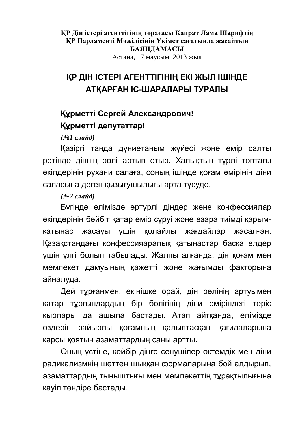**ҚР Дін істері агенттігінің төрағасы Қайрат Лама Шарифтің** КР Парламенті Мәжілісінін Үкімет сағатында жасайтын **БАЯНДАМАСЫ** Астана, 17 маусым, 2013 жыл

# **КР ДІН ІСТЕРІ АГЕНТТІГІНІҢ ЕКІ ЖЫЛ ІШІНДЕ ȺɌԔȺɊԐȺɇȱɋɒȺɊȺɅȺɊɕɌɍɊȺɅɕ**

# **Құрметті Сергей Александрович! Курметті депутаттар!**

*(№1 слайд)* 

Казіргі таңда дүниетаным жүйесі және өмір салты ретінде діннің рөлі артып отыр. Халықтың түрлі топтағы екілдерінің рухани салаға, соның ішінде қоғам өмірінің діни саласына деген кызығушылығы арта түсүде.

## *(No2 слайд)*

Бүгінде елімізде әртүрлі діндер және конфессиялар екілдерінің бейбіт қатар өмір сүруі және өзара тиімді қарымқатынас жасауы үшін қолайлы жағдайлар жасалған. Қазақстандағы конфессияаралық қатынастар басқа елдер үшін үлгі болып табылады. Жалпы алғанда, дін қоғам мен мемлекет дамуының қажетті және жағымды факторына айналуда.

Дей тұрғанмен, өкінішке орай, дін рөлінің артуымен қатар тұрғындардың бір бөлігінің діни өміріндегі теріс қырлары да ашыла бастады. Атап айтқанда, елімізде өздерін зайырлы қоғамның қалыптасқан қағидаларына қарсы қоятын азаматтардың саны артты.

Оның үстіне, кейбір дінге сенушілер өктемдік мен діни радикализмнің шеттен шыққан формаларына бой алдырып, азаматтардың тыныштығы мен мемлекеттің тұрақтылығына кауіп төндіре бастады.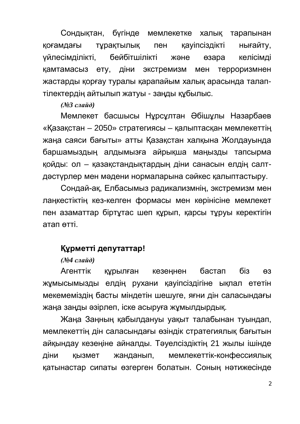Сондықтан, бүгінде мемлекетке халық тарапынан қоғамдағы тұрақтылық пен қауіпсіздікті нығайту, үйлесімділікті, бейбітшілікті және өзара келісімді қамтамасыз ету, діни экстремизм мен терроризмнен жастарды қорғау туралы қарапайым халық арасында талаптілектердің айтылып жатуы - заңды құбылыс.

(No<sup>2</sup> *cлайд*)

Мемлекет басшысы Нұрсұлтан Әбішұлы Назарбаев «Қазақстан – 2050» стратегиясы – қалыптасқан мемлекеттің жаңа саяси бағыты» атты Қазақстан халқына Жолдауында баршамыздың алдымызға айрықша маңызды тапсырма қойды: ол – қазақстандықтардың діни санасын елдің салтдәстүрлер мен мәдени нормаларына сәйкес қалыптастыру.

Сондай-ақ, Елбасымыз радикализмнің, экстремизм мен лаңкестіктің кез-келген формасы мен көрінісіне мемлекет пен азаматтар біртутас шеп құрып, қарсы тұруы керектігін атап өтті.

## Курметті депутаттар!

(No4 слайд)

Агенттік құрылған кезеңнен бастап біз өз Жұмысымызды елдің рухани қауіпсіздігіне ықпал ететін мекемеміздің басты міндетін шешуге, яғни дін саласындағы жаңа заңды әзірлеп, іске асыруға жұмылдырдық.

Жаңа Заңның қабылдануы уақыт талабынан туындап, мемлекеттің дін саласындағы өзіндік стратегиялық бағытын айқындау кезеңіне айналды. Тәуелсіздіктің 21 жылы ішінде діни қызмет жанданып, мемлекеттік-конфессиялық қатынастар сипаты өзгерген болатын. Соның нәтижесінде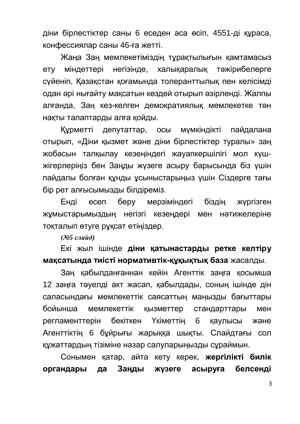діни бірлестіктер саны 6 еседен аса өсіп, 4551-ді құраса, конфессиялар саны 46-ға жетті.

Жаңа Заң мемлекетіміздің тұрақтылығын қамтамасыз ету міндеттері негізінде, халықаралық тәжірибелерге сүйеніп, Қазақстан қоғамында толеранттылық пен келісімді одан әрі нығайту мақсатын көздей отырып әзірленді. Жалпы алғанда, Заң кез-келген демократиялық мемлекетке тән нақты талаптарды алға қойды.

Курметті депутаттар, осы мумкіндікті пайдалана отырып, «Діни қызмет және діни бірлестіктер туралы» заң жобасын талқылау кезеңіндегі жауапкершілігі мол күшжігерлеріңіз бен Заңды жүзеге асыру барысында біз үшін пайдалы болған құнды ұсыныстарыңыз үшін Сіздерге тағы бір рет алғысымызды білдіреміз.

Енді есеп беру мерзіміндегі біздің жүргізген жұмыстарымыздың негізгі кезеңдері мен нәтижелеріне тоқталып өтүге рұқсат етіңіздер.

(No<sub>25</sub> слайд)

Екі жыл ішінде **діни қатынастарды ретке келтіру мақсатында тиісті нормативтік-құқықтық база жасалды.** 

Заң қабылданғаннан кейін Агенттік заңға қосымша 12 заңға тәуелді акт жасап, қабылдады, соның ішінде дін саласындағы мемлекеттік саясаттың маңызды бағыттары бойынша мемлекеттік қызметтер стандарттары мен регламенттерін бекіткен Үкіметтің 6 қаулысы және Агенттіктің 6 бұйрығы жарыққа шықты. Слайдтағы сол құжаттардың тізіміне назар салуларыңызды сұраймын.

Сонымен қатар, айта кету керек, **жергілікті билік ыргандары да Заңды жүзеге асыруға белсенді**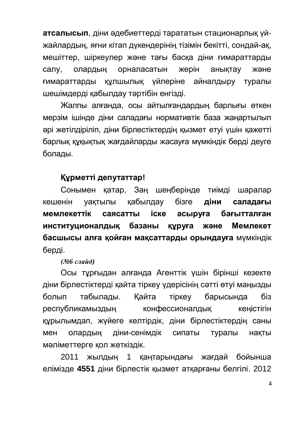**атсалысып**, діни әдебиеттерді тарататын стационарлық үйжайлардың, яғни кітап дүкендерінің тізімін бекітті, сондай-ақ, мешіттер, шіркеулер және тағы басқа діни ғимараттарды салу, олардың орналасатын жерін анықтау және ғимараттарды құлшылық үйлеріне айналдыру туралы шешімдерді қабылдау тәртібін енгізді.

Жалпы алғанда, осы айтылғандардың барлығы өткен мерзім ішінде діни саладағы нормативтік база жаңартылып әрі жетілдіріліп, діни бірлестіктердің қызмет етуі үшін қажетті барлық құқықтық жағдайларды жасауға мүмкіндік берді деуге болады.

# **Курметті депутаттар!**

Сонымен катар. Заң шеңберінде тиімді шаралар кешенін vактылы кабылдаv бізге **діни саладағы** мемлекеттік саясатты іске асыруға бағытталған институционалдық базаны құруға және Мемлекет **басшысы алға қойған мақсаттарды орындауға** мүмкіндік берді.

#### *(№6 слайд)*

Осы тұрғыдан алғанда Агенттік үшін бірінші кезекте діни бірлестіктерді қайта тіркеу үдерісінің сәтті өтуі маңызды болып табылады. Кайта тіркеу барысында біз республикамыздың конфессионалдық кеңістігін құрылымдап, жүйеге келтірдік, діни бірлестіктердің саны мен олардың діни-сенімдік сипаты туралы нақты мәліметтерге қол жеткіздік.

2011 жылдың 1 қаңтарындағы жағдай бойынша елімізде 4551 діни бірлестік қызмет атқарғаны белгілі. 2012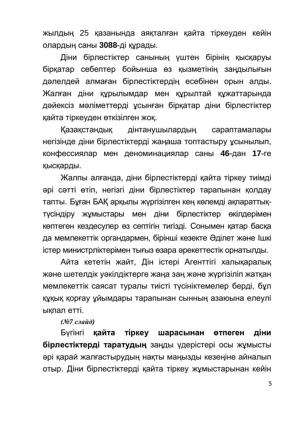жылдың 25 қазанында аяқталған қайта тіркеуден кейін олардың саны **3088**-ді құрады.

Діни бірлестіктер санының үштен бірінің қысқаруы бірқатар себептер бойынша өз қызметінің заңдылығын дәлелдей алмаған бірлестіктердің есебінен орын алды. Жалған діни құрылымдар мен құрылтай құжаттарында дәйексіз мәліметтерді ұсынған бірқатар діни бірлестіктер кайта тіркеуден өткізілген жоқ.

Қазақстандық дінтанушылардың сараптамалары негізінде діни бірлестіктерді жаңаша топтастыру ұсынылып, конфессиялар мен деноминациялар саны 46-дан 17-ге кысқарды.

Жалпы алғанда, діни бірлестіктерді қайта тіркеу тиімді әрі сәтті өтіп, негізгі діни бірлестіктер тарапынан қолдау тапты. Бұған БАҚ арқылы жүргізілген кең көлемді ақпараттықтүсіндіру жұмыстары мен діни бірлестіктер өкілдерімен көптеген кездесулер өз септігін тигізді. Сонымен қатар басқа да мемлекеттік органдармен, бірінші кезекте Әділет және Ішкі істер министрліктерімен тығыз өзара әрекеттестік орнатылды.

Айта кететін жайт. Дін істері Агенттігі халыкаралык және шетелдік уәкілдіктерге жаңа заң және жүргізіліп жатқан мемлекеттік саясат туралы тиісті түсініктемелер берді, бұл кұқық қорғау ұйымдары тарапынан сынның азаюына елеулі ықпал етті.

#### *(№7 слайд)*

Бугінгі **кайта тіркеу шарасынан өтпеген діни бірлестіктерді таратудың** заңды үдерістері осы жұмысты әрі қарай жалғастырудың нақты маңызды кезеңіне айналып отыр. Діни бірлестіктерді қайта тіркеу жұмыстарынан кейін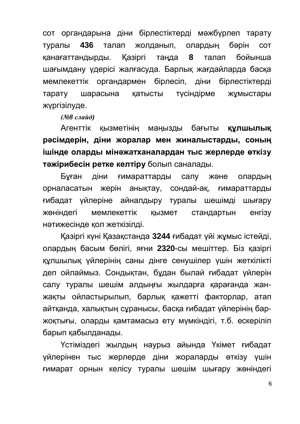сот органдарына діни бірлестіктерді мәжбүрлеп тарату туралы 436 талап жолданып, олардың бәрін сот канағаттандырды. Қазіргі таңда 8 талап бойынша шағымдану үдерісі жалғасуда. Барлық жағдайларда басқа мемлекеттік органдармен бірлесіп, діни бірлестіктерді тарату шарасына қатысты түсіндірме жұмыстары жүргізілуде.

*(№8 слайд)* 

Агенттік қызметінің маңызды бағыты **құлшылық рәсімдерін, діни жоралар мен жиналыстарды, соның** ішінде оларды мінәжатханалардан тыс жерлерде өткізу тәжірибесін ретке келтіру болып саналады.

Бұған діни ғимараттарды салу және олардың орналасатын жерін анықтау, сондай-ақ, ғимараттарды ғибадат үйлеріне айналдыру туралы шешімді шығару ЖӨНІНДЕГІ МЕМЛЕКЕТТІК КЫЗМЕТ СТАНДАРТЫН ЕНГІЗУ нәтижесінде қол жеткізілді.

Қазіргі күні Қазақстанда 3244 ғибадат үйі жұмыс істейді, олардың басым бөлігі, яғни 2320-сы мешіттер. Біз қазіргі кулшылық үйлерінің саны дінге сенушілер үшін жеткілікті деп ойлаймыз. Сондықтан, бұдан былай ғибадат үйлерін салу туралы шешім алдыңғы жылдарға қарағанда жанжақты ойластырылып, барлық қажетті факторлар, атап айтқанда, халықтың сұранысы, басқа ғибадат үйлерінің баржоқтығы, оларды қамтамасыз ету мүмкіндігі, т.б. ескеріліп барып қабылданады.

Үстіміздегі жылдың наурыз айында Үкімет ғибадат үйлерінен тыс жерлерде діни жораларды өткізу үшін ғимарат орнын келісу туралы шешім шығару жөніндегі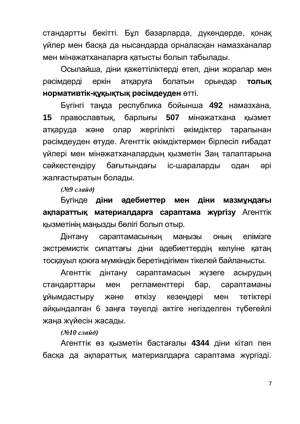стандартты бекітті. Бұл базарларда, дүкендерде, қонақ үйлер мен басқа да нысандарда орналасқан намазханалар мен мінәжатханаларға қатысты болып табылады.

Осылайша, діни кажеттіліктерді өтеп, діни жоралар мен рәсімдерді еркін аткаруға болатын орындар **толык НОРМАТИВТІК-ҚУҚЫҚТЫҚ РӘСІМДЕУДЕН** ӨТТІ.

Бүгінгі таңда республика бойынша 492 намазхана, **15** православтық, барлығы **507** мінәжатхана қызмет атқаруда және олар жергілікті әкімдіктер тарапынан рәсімдеуден өтуде. Агенттік әкімдіктермен бірлесіп ғибадат үйлері мен мінәжатханалардың қызметін Заң талаптарына сәйкестендіру бағытындағы iс-шараларды одан әрі жалғастыратын болады.

*(№9 слайд)* 

Бүгінде **діни әдебиеттер мен діни мазмундағы ақпараттық материалдарға сараптама жүргізу** Агенттік қызметінің маңызды бөлігі болып отыр.

Дінтану сараптамасының маңызы оның елімізге экстремистік сипаттағы діни әдебиеттердің келуіне қатаң тосқауыл қоюға мүмкіндік беретіндігімен тікелей байланысты.

Агенттік дінтану сараптамасын жүзеге асырудың стандарттары мен регламенттері бар, сараптаманы уйымдастыру және өткізу кезеңдері мен тетіктері айқындалған 6 заңға тәуелді актіге негізделген түбегейлі жаңа жүйесін жасады.

*(№10 слайд)* 

Агенттік өз қызметін бастағалы 4344 діни кітап пен басқа да ақпараттық материалдарға сараптама жүргізді.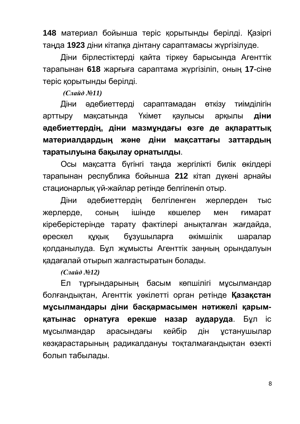148 материал бойынша теріс қорытынды берілді. Қазіргі таңда 1923 діни кітапқа дінтану сараптамасы жүргізілуде.

Діни бірлестіктерді қайта тіркеу барысында Агенттік тарапынан 618 жарғыға сараптама жүргізіліп, оның 17-сіне теріс қорытынды берілді.

*(Слайд №11)* 

Діни әдебиеттерді сараптамадан өткізу тиімділігін арттыру мақсатында Үкімет қаулысы арқылы **діни** әдебиеттердің, діни мазмұндағы өзге де ақпараттық материалдардың және діни мақсаттағы заттардың таратылуына бақылау орнатылды.

Осы мақсатта бүгінгі таңда жергілікті билік өкілдері тарапынан республика бойынша 212 кітап дукені арнайы стационарлық үй-жайлар ретінде белгіленіп отыр.

Діни әдебиеттердің белгіленген жерлерден тыс жерлерде, соның ішінде көшелер мен ғимарат кіреберістерінде тарату фактілері анықталған жағдайда, өрескел құқық бұзушыларға әкімшілік шаралар қолданылуда. Бұл жұмысты Агенттік заңның орындалуын қадағалай отырып жалғастыратын болады.

*(Слайд №12)* 

Ел тұрғындарының басым көпшілігі мұсылмандар болғандықтан, Агенттік уәкілетті орган ретінде **Казақстан** мусылмандары діни басқармасымен нәтижелі қарым**қатынас орнатуға ерекше назар аударуда**. Бұл іс мұсылмандар арасындағы кейбір дін ұстанушылар көзқарастарының радикалдануы тоқталмағандықтан өзекті болып табылады.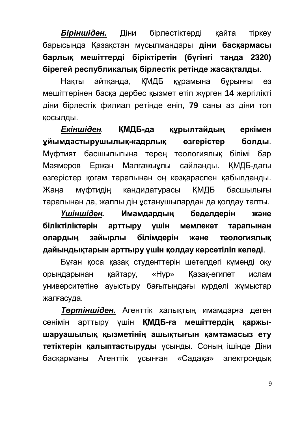**Біріншіден.** Діни бірлестіктерді қайта тіркеу барысында Қазақстан мұсылмандары **діни басқармасы**  $6$ арлық мешіттерді біріктіретін (бүгінгі таңда 2320) **бірегей республикалық бірлестік ретінде жасақталды.** 

Накты айтканда, КМДБ курамына бурынғы өз мешіттерінен басқа дербес қызмет етіп жүрген 14 жергілікті діни бірлестік филиал ретінде еніп, 79 саны аз діни топ КОСЫЛДЫ.

**Екіншіден. КМДБ-да құрылтайдың еркімен уйымдастырушылық-кадрлық өзгерістер болды.** Мүфтият басшылығына терең теологиялық білімі бар Маямеров Ержан Малғажыұлы сайланды. ҚМДБ-дағы өзгерістер қоғам тарапынан оң көзқараспен қабылданды. Жаңа муфтидің кандидатурасы ҚМДБ басшылығы тарапынан да, жалпы дін ұстанушылардан да қолдау тапты.

Yшiншiден. Имамдардың беделдерiн және біліктіліктерін арттыру үшін мемлекет тарапынан **ын анългов и теологиялық** білімдерін және теологиялық дайындықтарын арттыру үшін қолдау көрсетіліп келеді.

Бұған қоса қазақ студенттерін шетелдегі күмәнді оқу орындарынан қайтару, «Нұр» Қазақ-египет ислам университетіне ауыстыру бағытындағы күрделі жұмыстар жалғасуда.

**Төртіншіден.** Агенттік халықтың имамдарға деген сенімін арттыру үшін **ҚМДБ-ға мешіттердің қаржы**шаруашылық қызметінің ашықтығын қамтамасыз ету тетіктерін қалыптастыруды ұсынды. Соның ішінде Діни басқарманы Агенттік ұсынған «Садақа» электрондық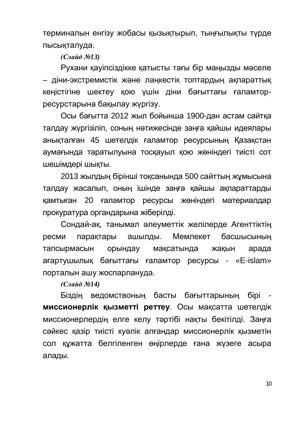терминалын енгізу жобасы қызықтырып, тыңғылықты түрде пысықталуда.

*(Слайд №13)* 

Рухани қауіпсіздікке қатысты тағы бір маңызды мәселе – діни-экстремистік және лаңкестік топтардың ақпараттық кеңістігіне шектеу қою үшін діни бағыттағы ғаламторресурстарына бақылау жүргізу.

Осы бағытта 2012 жыл бойынша 1900-дан астам сайтка талдау жүргізіліп, соның нәтижесінде заңға қайшы идеялары аныкталған 45 шетелдік ғаламтор ресурсының Қазакстан аумағында таратылуына тосқауыл қою жөніндегі тиісті сот шешімдері шықты.

2013 жылдың бірінші тоқсанында 500 сайттың жұмысына талдау жасалып, оның ішінде заңға қайшы ақпараттарды камтыған 20 ғаламтор ресурсы жөніндегі материалдар прокуратура органдарына жіберілді.

Сондай-ақ, танымал әлеуметтік желілерде Агенттіктің ресми парақтары ашылды. Мемлекет басшысының тапсырмасын орындау мақсатында жақын арада ағартушылық бағыттағы ғаламтор ресурсы - «E-islam» порталын ашу жоспарлануда.

**(Слайд №14)** 

Біздің ведомствоның басты бағыттарының бірі **миссионерлік қызметті реттеу**. Осы мақсатта шетелдік миссионерлердің елге келу тәртібі нақты бекітілді. Заңға сәйкес қазір тиісті куәлік алғандар миссионерлік қызметін сол құжатта белгіленген өңірлерде ғана жүзеге асыра алады.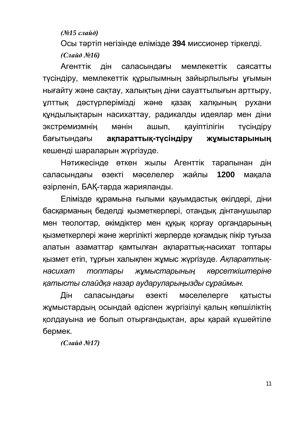*(№15 слайд)* 

Осы тәртіп негізінде елімізде 394 миссионер тіркелді. *(Слайд №16)* 

Агенттік дін саласындағы мемлекеттік саясатты түсіндіру, мемлекеттік құрылымның зайырлылығы ұғымын нығайту және сақтау, халықтың діни сауаттылығын арттыру, ұлттық дәстүрлерімізді және қазақ халқының рухани құндылықтарын насихаттау, радикалды идеялар мен діни экстремизмнің мәнін ашып, қауіптілігін түсіндіру бағытындағы **ақпараттық-түсіндіру жұмыстарының** кешенді шараларын жүргізуде.

Нәтижесінде өткен жылы Агенттік тарапынан дін саласындағы өзекті мәселелер жайлы **1200** мақала әзірленіп, БАҚ-тарда жарияланды.

Елiмiзде құрамына ғылыми қауымдастық өкiлдерi, дiни басқарманың беделді қызметкерлері, отандық дінтанушылар мен теологтар, әкімдіктер мен құқық қорғау органдарының кызметкерлері және жергілікті жерлерде қоғамдық пікір туғыза алатын азаматтар қамтылған ақпараттық-насихат топтары қызмет етіп, тұрғын халықпен жұмыс жүргізуде. *Ақпараттық-*Hacuxam топтары жұмыстарының көрсеткіштеріне <u>катысты слайдка назар аударуларыңызды сұраймын.</u>

Дін саласындағы өзекті мәселелерге қатысты жұмыстардың осындай әдіспен жүргізілуі қалың көпшіліктің қолдауына ие болып отырғандықтан, ары қарай күшейтіле бермек.

*(Слайд №17)*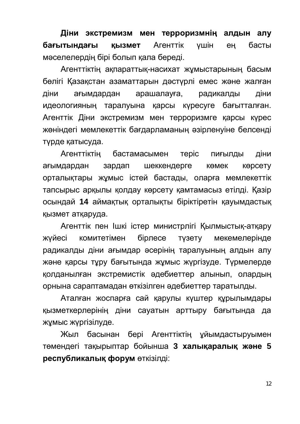Діни экстремизм мен терроризмнің алдын алу **бағытындағы қызмет** Агенттік үшін ең басты мәселелердің бірі болып қала береді.

Агенттіктің ақпараттық-насихат жұмыстарының басым бөлігі Қазақстан азаматтарын дәстүрлі емес және жалған діни ағымдардан арашалауға, радикалды діни идеологияның таралуына қарсы күресуге бағытталған. Агенттік Діни экстремизм мен терроризмге қарсы күрес жөніндегі мемлекеттік бағдарламаның әзірленуіне белсенді түрде қатысуда.

Агенттіктің бастамасымен теріс пиғылды діни ағымдардан зардап шеккендерге көмек көрсету <u>орталықтары жұмыс істей бастады, оларға мемлекеттік</u> тапсырыс арқылы қолдау көрсету қамтамасыз етілді. Қазір осындай 14 аймақтық орталықты біріктіретін қауымдастық кызмет атқаруда.

Агенттік пен Ішкі істер министрлігі Қылмыстық-атқару жүйесі комитетімен бірлесе түзету мекемелерінде радикалды діни ағымдар әсерінің таралуының алдын алу және карсы түрү бағытында жүмыс жүргізүде. Түрмелерде қолданылған экстремистік әдебиеттер алынып, олардың орнына сараптамадан өткізілген әдебиеттер таратылды.

Аталған жоспарға сай қарулы күштер құрылымдары қызметкерлерінің діни сауатын арттыру бағытында да жұмыс жүргізілуде.

Жыл басынан бері Агенттіктің ұйымдастыруымен төмендегі тақырыптар бойынша 3 халықаралық және 5 **республикалық форум өткізілді:**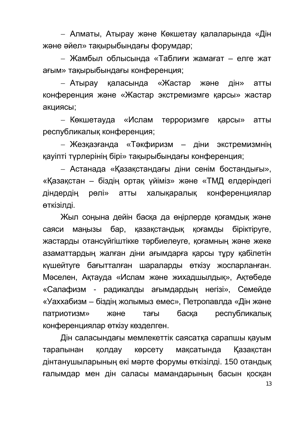– Алматы, Атырау және Көкшетау қалаларында «Дін және әйел» тақырыбындағы форумдар;

– Жамбыл облысында «Таблиғи жамағат – елге жат ағым» тақырыбындағы конференция;

– Атырау қаласында «Жастар және дін» атты конференция және «Жастар экстремизмге қарсы» жастар акциясы;

– Көкшетауда «Ислам терроризмге қарсы» атты республикалық конференция;

– Жезқазғанда «Тәкфиризм – діни экстремизмнің қауіпті түрлерінің бірі» тақырыбындағы конференция;

– Астанада «Казакстандағы діни сенім бостандығы», «Қазақстан – біздің ортақ үйіміз» және «ТМД елдеріндегі діндердің рөлі» атты халықаралық конференциялар өткізілді.

Жыл сонына дейін баска да өнірлерде коғамдык және саяси манызы бар, казакстандык коғамды біріктіруге, жастарды отансуйгіштікке тәрбиелеуге, қоғамның және жеке азаматтардың жалған діни ағымдарға қарсы тұру қабілетін күшейтуге бағытталған шараларды өткізу жоспарланған. Мәселен, Ақтауда «Ислам және жихадшылдық», Ақтөбеде «Салафизм - радикалды ағымдардың негізі», Семейде «Уаххабизм – біздің жолымыз емес», Петропавлда «Дін және патриотизм» және тағы басқа республикалық конференциялар өткізу көзделген.

Дін саласындағы мемлекеттік саясатқа сарапшы қауым тарапынан колдау көрсету максатында Казакстан дінтанушыларының екі мәрте форумы өткізілді. 150 отандық ғалымдар мен дін саласы мамандарының басын қосқан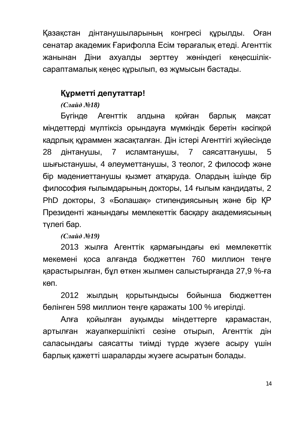Қазақстан дінтанушыларының конгресі құрылды. Оған сенатар академик Ғарифолла Есім төрағалық етеді. Агенттік жанынан Діни ахуалды зерттеу жөніндегі кеңесшіліксараптамалық кеңес құрылып, өз жұмысын бастады.

# **Құрметті депутаттар!**

**(Слайд №18)** 

Бүгінде Агенттік алдына қойған барлық мақсат міндеттерді мүлтіксіз орындауға мүмкіндік беретін кәсіпқой кадрлык кураммен жасакталған. Дін істері Агенттігі жүйесінде 28 дінтанушы, 7 исламтанушы, 7 саясаттанушы, 5 шығыстанушы, 4 әлеуметтанушы, 3 теолог, 2 философ және бір мәдениеттанушы қызмет атқаруда. Олардың ішінде бір философия ғылымдарының докторы, 14 ғылым кандидаты, 2 PhD докторы, 3 «Болашак» стипендиясының және бір КР Президенті жанындағы мемлекеттік басқару академиясының түлегі бар.

*(Слайд №19)* 

2013 жылға Агенттік қармағындағы екі мемлекеттік мекемені қоса алғанда бюджеттен 760 миллион теңге қарастырылған, бұл өткен жылмен салыстырғанда 27,9 %-ға κθΠ.

2012 жылдың қорытындысы бойынша бюджеттен бөлінген 598 миллион теңге қаражаты 100 % игерілді.

Алға қойылған ауқымды міндеттерге қарамастан, артылған жауапкершілікті сезіне отырып, Агенттік дін саласындағы саясатты тиімді түрде жүзеге асыру үшін барлық қажетті шараларды жүзеге асыратын болады.